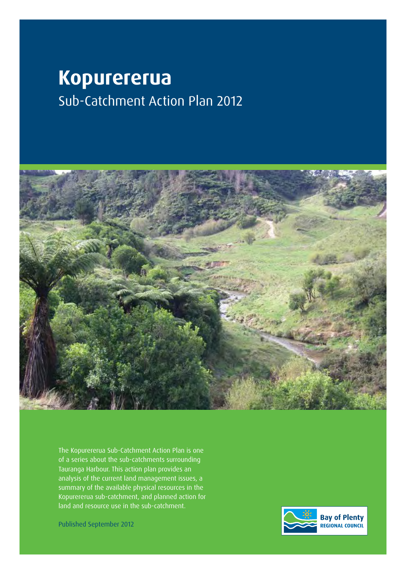# **Kopurererua** Sub-Catchment Action Plan 2012



The Kopurererua Sub-Catchment Action Plan is one of a series about the sub-catchments surrounding Tauranga Harbour. This action plan provides an analysis of the current land management issues, a summary of the available physical resources in the Kopurererua sub-catchment, and planned action for land and resource use in the sub-catchment.

Published September 2012

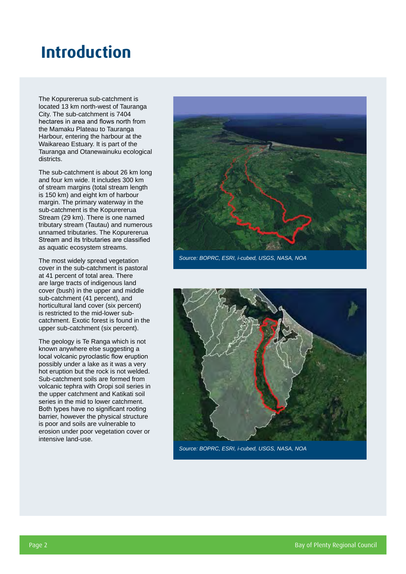## **Introduction**

The Kopurererua sub-catchment is located 13 km north-west of Tauranga City. The sub-catchment is 7404 hectares in area and flows north from the Mamaku Plateau to Tauranga Harbour, entering the harbour at the Waikareao Estuary. It is part of the Tauranga and Otanewainuku ecological districts.

The sub-catchment is about 26 km long and four km wide. It includes 300 km of stream margins (total stream length is 150 km) and eight km of harbour margin. The primary waterway in the sub-catchment is the Kopurererua Stream (29 km). There is one named tributary stream (Tautau) and numerous unnamed tributaries. The Kopurererua Stream and its tributaries are classified as aquatic ecosystem streams.

The most widely spread vegetation cover in the sub-catchment is pastoral at 41 percent of total area. There are large tracts of indigenous land cover (bush) in the upper and middle sub-catchment (41 percent), and horticultural land cover (six percent) is restricted to the mid-lower subcatchment. Exotic forest is found in the upper sub-catchment (six percent).

The geology is Te Ranga which is not known anywhere else suggesting a local volcanic pyroclastic flow eruption possibly under a lake as it was a very hot eruption but the rock is not welded. Sub-catchment soils are formed from volcanic tephra with Oropi soil series in the upper catchment and Katikati soil series in the mid to lower catchment. Both types have no significant rooting barrier, however the physical structure is poor and soils are vulnerable to erosion under poor vegetation cover or intensive land-use.



*Source: BOPRC, ESRI, i-cubed, USGS, NASA, NOA*



*Source: BOPRC, ESRI, i-cubed, USGS, NASA, NOA*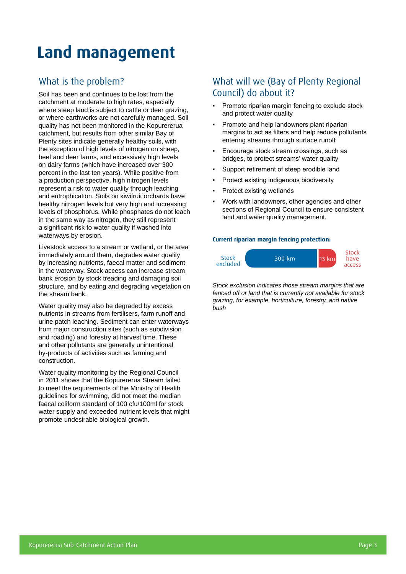# **Land management**

## What is the problem?

Soil has been and continues to be lost from the catchment at moderate to high rates, especially where steep land is subject to cattle or deer grazing, or where earthworks are not carefully managed. Soil quality has not been monitored in the Kopurererua catchment, but results from other similar Bay of Plenty sites indicate generally healthy soils, with the exception of high levels of nitrogen on sheep, beef and deer farms, and excessively high levels on dairy farms (which have increased over 300 percent in the last ten years). While positive from a production perspective, high nitrogen levels represent a risk to water quality through leaching and eutrophication. Soils on kiwifruit orchards have healthy nitrogen levels but very high and increasing levels of phosphorus. While phosphates do not leach in the same way as nitrogen, they still represent a significant risk to water quality if washed into waterways by erosion.

Livestock access to a stream or wetland, or the area immediately around them, degrades water quality by increasing nutrients, faecal matter and sediment in the waterway. Stock access can increase stream bank erosion by stock treading and damaging soil structure, and by eating and degrading vegetation on the stream bank.

Water quality may also be degraded by excess nutrients in streams from fertilisers, farm runoff and urine patch leaching. Sediment can enter waterways from major construction sites (such as subdivision and roading) and forestry at harvest time. These and other pollutants are generally unintentional by-products of activities such as farming and construction.

Water quality monitoring by the Regional Council in 2011 shows that the Kopurererua Stream failed to meet the requirements of the Ministry of Health guidelines for swimming, did not meet the median faecal coliform standard of 100 cfu/100ml for stock water supply and exceeded nutrient levels that might promote undesirable biological growth.

### What will we (Bay of Plenty Regional Council) do about it?

- Promote riparian margin fencing to exclude stock and protect water quality
- Promote and help landowners plant riparian margins to act as filters and help reduce pollutants entering streams through surface runoff
- Encourage stock stream crossings, such as bridges, to protect streams' water quality
- Support retirement of steep erodible land
- Protect existing indigenous biodiversity
- Protect existing wetlands
- Work with landowners, other agencies and other sections of Regional Council to ensure consistent land and water quality management.

#### **Current riparian margin fencing protection:**



*Stock exclusion indicates those stream margins that are fenced off or land that is currently not available for stock grazing, for example, horticulture, forestry, and native bush*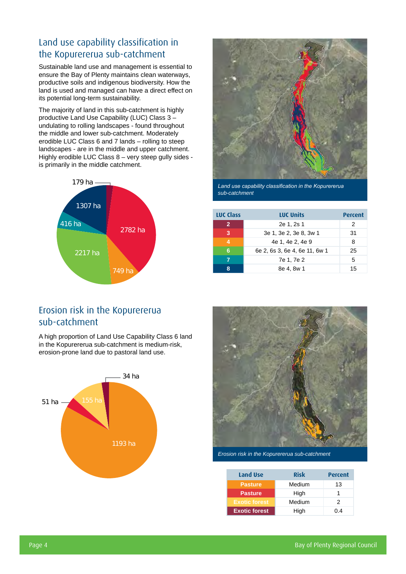## Land use capability classification in the Kopurererua sub-catchment

Sustainable land use and management is essential to ensure the Bay of Plenty maintains clean waterways, productive soils and indigenous biodiversity. How the land is used and managed can have a direct effect on its potential long-term sustainability.

The majority of land in this sub-catchment is highly productive Land Use Capability (LUC) Class 3 – undulating to rolling landscapes - found throughout the middle and lower sub-catchment. Moderately erodible LUC Class 6 and 7 lands – rolling to steep landscapes - are in the middle and upper catchment. Highly erodible LUC Class 8 – very steep gully sides is primarily in the middle catchment.





*Land use capability classification in the Kopurererua sub-catchment*

| <b>LUC Class</b>       | <b>LUC Units</b>              | Percent |
|------------------------|-------------------------------|---------|
| $\overline{2}$         | 2e 1, 2s 1                    | 2       |
| 3                      | 3e 1, 3e 2, 3e 8, 3w 1        | 31      |
| $\boldsymbol{\Lambda}$ | 4e 1, 4e 2, 4e 9              | 8       |
| 6                      | 6e 2, 6s 3, 6e 4, 6e 11, 6w 1 | 25      |
|                        | 7e 1, 7e 2                    | 5       |
| Զ                      | 8e 4, 8w 1                    | 15      |

### Erosion risk in the Kopurererua sub-catchment

A high proportion of Land Use Capability Class 6 land in the Kopurererua sub-catchment is medium-risk, erosion-prone land due to pastoral land use.





*Erosion risk in the Kopurererua sub-catchment*

| Land Use             | <b>Risk</b> | <b>Percent</b> |  |  |
|----------------------|-------------|----------------|--|--|
| <b>Pasture</b>       | Medium      | 13             |  |  |
| <b>Pasture</b>       | High        |                |  |  |
| <b>Exotic forest</b> | Medium      | 2              |  |  |
| <b>Exotic forest</b> | High        | በ 4            |  |  |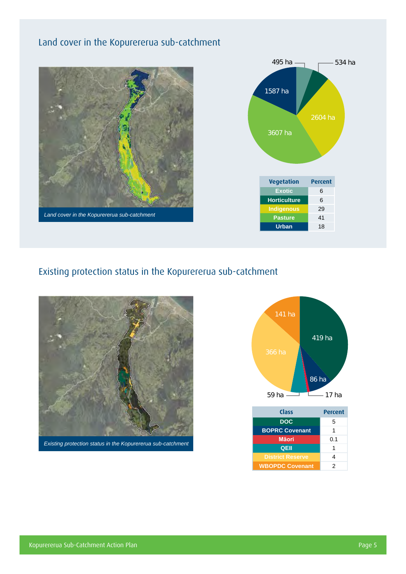## Land cover in the Kopurererua sub-catchment





## Existing protection status in the Kopurererua sub-catchment





| <b>Class</b>            | <b>Percent</b> |  |  |  |
|-------------------------|----------------|--|--|--|
| <b>DOC</b>              | 5              |  |  |  |
| <b>BOPRC Covenant</b>   | 1              |  |  |  |
| <b>Māori</b>            | 0.1            |  |  |  |
| QEII                    | 1              |  |  |  |
| <b>District Reserve</b> | 4              |  |  |  |
| <b>WBOPDC Covenant</b>  | 2              |  |  |  |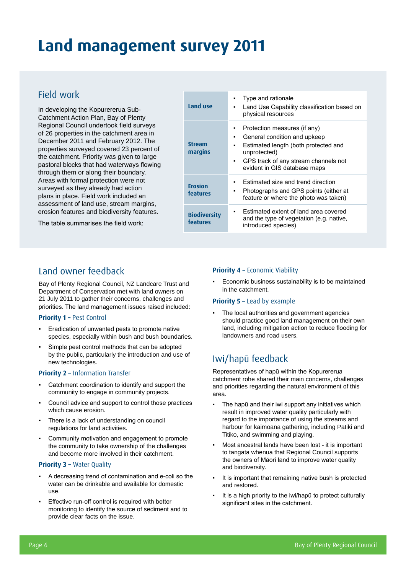## **Land management survey 2011**

### Field work

In developing the Kopurererua Sub-Catchment Action Plan, Bay of Plenty Regional Council undertook field surveys of 26 properties in the catchment area in December 2011 and February 2012. The properties surveyed covered 23 percent of the catchment. Priority was given to large pastoral blocks that had waterways flowing through them or along their boundary. Areas with formal protection were not surveyed as they already had action plans in place. Field work included an assessment of land use, stream margins, erosion features and biodiversity features.

The table summarises the field work:

| Land use                        | Type and rationale<br>Land Use Capability classification based on<br>physical resources                                                                                                                 |
|---------------------------------|---------------------------------------------------------------------------------------------------------------------------------------------------------------------------------------------------------|
| <b>Stream</b><br>margins        | Protection measures (if any)<br>General condition and upkeep<br>٠<br>Estimated length (both protected and<br>unprotected)<br>GPS track of any stream channels not<br>н.<br>evident in GIS database maps |
| <b>Erosion</b><br>features      | Estimated size and trend direction<br>Photographs and GPS points (either at<br>٠<br>feature or where the photo was taken)                                                                               |
| <b>Biodiversity</b><br>features | Estimated extent of land area covered<br>and the type of vegetation (e.g. native,<br>introduced species)                                                                                                |

### Land owner feedback

Bay of Plenty Regional Council, NZ Landcare Trust and Department of Conservation met with land owners on 21 July 2011 to gather their concerns, challenges and priorities. The land management issues raised included:

#### **Priority 1 – Pest Control**

- Eradication of unwanted pests to promote native species, especially within bush and bush boundaries.
- Simple pest control methods that can be adopted by the public, particularly the introduction and use of new technologies.

#### **Priority 2 –** Information Transfer

- Catchment coordination to identify and support the community to engage in community projects.
- Council advice and support to control those practices which cause erosion.
- There is a lack of understanding on council regulations for land activities.
- Community motivation and engagement to promote the community to take ownership of the challenges and become more involved in their catchment.

#### **Priority 3 –** Water Quality

- A decreasing trend of contamination and e-coli so the water can be drinkable and available for domestic use.
- Effective run-off control is required with better monitoring to identify the source of sediment and to provide clear facts on the issue.

#### **Priority 4 - Economic Viability**

Economic business sustainability is to be maintained in the catchment.

#### **Priority 5 – Lead by example**

The local authorities and government agencies should practice good land management on their own land, including mitigation action to reduce flooding for landowners and road users.

### Iwi/hapū feedback

Representatives of hapū within the Kopurererua catchment rohe shared their main concerns, challenges and priorities regarding the natural environment of this area.

- The hapū and their iwi support any initiatives which result in improved water quality particularly with regard to the importance of using the streams and harbour for kaimoana gathering, including Patiki and Titiko, and swimming and playing.
- Most ancestral lands have been lost it is important to tangata whenua that Regional Council supports the owners of Māori land to improve water quality and biodiversity.
- It is important that remaining native bush is protected and restored.
- It is a high priority to the iwi/hapū to protect culturally significant sites in the catchment.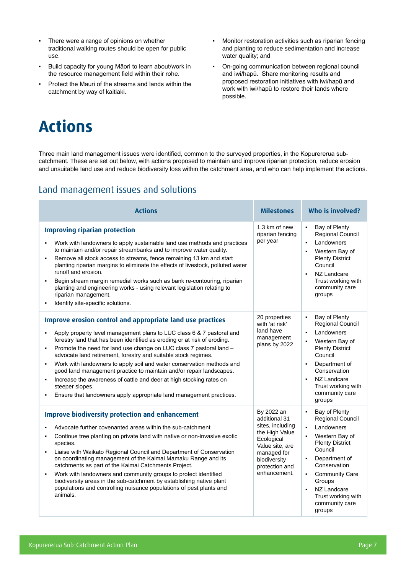- There were a range of opinions on whether traditional walking routes should be open for public use.
- Build capacity for young Māori to learn about/work in the resource management field within their rohe.
- Protect the Mauri of the streams and lands within the catchment by way of kaitiaki.
- Monitor restoration activities such as riparian fencing and planting to reduce sedimentation and increase water quality; and
- On-going communication between regional council and iwi/hapū. Share monitoring results and proposed restoration initiatives with iwi/hapū and work with iwi/hapū to restore their lands where possible.

## **Actions**

Three main land management issues were identified, common to the surveyed properties, in the Kopurererua subcatchment. These are set out below, with actions proposed to maintain and improve riparian protection, reduce erosion and unsuitable land use and reduce biodiversity loss within the catchment area, and who can help implement the actions.

## Land management issues and solutions

| <b>Actions</b>                                                                                                                                                                                                                                                                                                                                                                                                                                                                                                                                                                                                                                                                             | <b>Milestones</b>                                                                                                                                                   | Who is involved?                                                                                                                                                                                                                                                                                                    |  |  |
|--------------------------------------------------------------------------------------------------------------------------------------------------------------------------------------------------------------------------------------------------------------------------------------------------------------------------------------------------------------------------------------------------------------------------------------------------------------------------------------------------------------------------------------------------------------------------------------------------------------------------------------------------------------------------------------------|---------------------------------------------------------------------------------------------------------------------------------------------------------------------|---------------------------------------------------------------------------------------------------------------------------------------------------------------------------------------------------------------------------------------------------------------------------------------------------------------------|--|--|
| <b>Improving riparian protection</b><br>Work with landowners to apply sustainable land use methods and practices<br>to maintain and/or repair streambanks and to improve water quality.<br>Remove all stock access to streams, fence remaining 13 km and start<br>planting riparian margins to eliminate the effects of livestock, polluted water<br>runoff and erosion.<br>Begin stream margin remedial works such as bank re-contouring, riparian<br>planting and engineering works - using relevant legislation relating to<br>riparian management.<br>Identify site-specific solutions.<br>$\blacksquare$                                                                              | 1.3 km of new<br>riparian fencing<br>per year                                                                                                                       | Bay of Plenty<br><b>Regional Council</b><br>Landowners<br>Western Bay of<br><b>Plenty District</b><br>Council<br>NZ Landcare<br>$\blacksquare$<br>Trust working with<br>community care<br>groups                                                                                                                    |  |  |
| <b>Improve erosion control and appropriate land use practices</b><br>Apply property level management plans to LUC class 6 & 7 pastoral and<br>forestry land that has been identified as eroding or at risk of eroding.<br>Promote the need for land use change on LUC class 7 pastoral land -<br>٠<br>advocate land retirement, forestry and suitable stock regimes.<br>Work with landowners to apply soil and water conservation methods and<br>good land management practice to maintain and/or repair landscapes.<br>Increase the awareness of cattle and deer at high stocking rates on<br>٠<br>steeper slopes.<br>Ensure that landowners apply appropriate land management practices. | 20 properties<br>with 'at risk'<br>land have<br>management<br>plans by 2022                                                                                         | Bay of Plenty<br>$\blacksquare$<br>Regional Council<br>Landowners<br>Western Bay of<br><b>Plenty District</b><br>Council<br>Department of<br>Conservation<br>NZ Landcare<br>$\blacksquare$<br>Trust working with<br>community care<br>groups                                                                        |  |  |
| <b>Improve biodiversity protection and enhancement</b><br>Advocate further covenanted areas within the sub-catchment<br>Continue tree planting on private land with native or non-invasive exotic<br>species.<br>Liaise with Waikato Regional Council and Department of Conservation<br>$\blacksquare$<br>on coordinating management of the Kaimai Mamaku Range and its<br>catchments as part of the Kaimai Catchments Project.<br>Work with landowners and community groups to protect identified<br>$\blacksquare$<br>biodiversity areas in the sub-catchment by establishing native plant<br>populations and controlling nuisance populations of pest plants and<br>animals.            | By 2022 an<br>additional 31<br>sites, including<br>the High Value<br>Ecological<br>Value site, are<br>managed for<br>biodiversity<br>protection and<br>enhancement. | Bay of Plenty<br>$\blacksquare$<br>Regional Council<br>Landowners<br>$\blacksquare$<br>Western Bay of<br><b>Plenty District</b><br>Council<br>Department of<br>$\blacksquare$<br>Conservation<br><b>Community Care</b><br>$\blacksquare$<br>Groups<br>NZ Landcare<br>Trust working with<br>community care<br>groups |  |  |